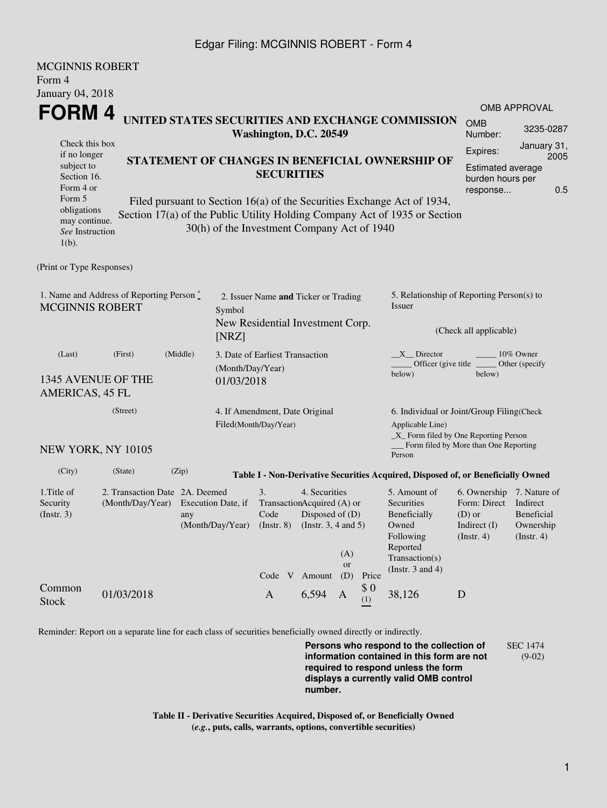## Edgar Filing: MCGINNIS ROBERT - Form 4

| <b>MCGINNIS ROBERT</b>                                           |                                                                    |                    |                                |                                                                                                        |       |           |                                           |                                                                                  |                                              |                                               |  |
|------------------------------------------------------------------|--------------------------------------------------------------------|--------------------|--------------------------------|--------------------------------------------------------------------------------------------------------|-------|-----------|-------------------------------------------|----------------------------------------------------------------------------------|----------------------------------------------|-----------------------------------------------|--|
| Form 4                                                           |                                                                    |                    |                                |                                                                                                        |       |           |                                           |                                                                                  |                                              |                                               |  |
| January 04, 2018                                                 |                                                                    |                    |                                |                                                                                                        |       |           |                                           |                                                                                  |                                              |                                               |  |
| <b>FORM4</b><br>UNITED STATES SECURITIES AND EXCHANGE COMMISSION |                                                                    |                    |                                |                                                                                                        |       |           |                                           |                                                                                  | <b>OMB APPROVAL</b>                          |                                               |  |
|                                                                  |                                                                    |                    |                                | Washington, D.C. 20549                                                                                 |       |           |                                           |                                                                                  | <b>OMB</b><br>Number:                        | 3235-0287                                     |  |
| Check this box                                                   |                                                                    |                    |                                |                                                                                                        |       |           |                                           |                                                                                  | Expires:                                     | January 31,                                   |  |
| if no longer<br>subject to                                       |                                                                    |                    |                                | STATEMENT OF CHANGES IN BENEFICIAL OWNERSHIP OF                                                        |       |           |                                           |                                                                                  | 2005<br><b>Estimated average</b>             |                                               |  |
| Section 16.                                                      |                                                                    |                    |                                | <b>SECURITIES</b>                                                                                      |       |           |                                           |                                                                                  | burden hours per                             |                                               |  |
| Form 4 or                                                        |                                                                    |                    |                                |                                                                                                        |       |           |                                           |                                                                                  | 0.5<br>response                              |                                               |  |
| Form 5<br>obligations                                            |                                                                    |                    |                                |                                                                                                        |       |           |                                           | Filed pursuant to Section 16(a) of the Securities Exchange Act of 1934,          |                                              |                                               |  |
| may continue.                                                    |                                                                    |                    |                                |                                                                                                        |       |           |                                           | Section 17(a) of the Public Utility Holding Company Act of 1935 or Section       |                                              |                                               |  |
| See Instruction                                                  |                                                                    |                    |                                | 30(h) of the Investment Company Act of 1940                                                            |       |           |                                           |                                                                                  |                                              |                                               |  |
| $1(b)$ .                                                         |                                                                    |                    |                                |                                                                                                        |       |           |                                           |                                                                                  |                                              |                                               |  |
| (Print or Type Responses)                                        |                                                                    |                    |                                |                                                                                                        |       |           |                                           |                                                                                  |                                              |                                               |  |
|                                                                  | 1. Name and Address of Reporting Person $\stackrel{*}{\mathbb{L}}$ |                    |                                |                                                                                                        |       |           |                                           | 5. Relationship of Reporting Person(s) to                                        |                                              |                                               |  |
| <b>MCGINNIS ROBERT</b><br>Symbol                                 |                                                                    |                    |                                | 2. Issuer Name and Ticker or Trading                                                                   |       |           |                                           | Issuer                                                                           |                                              |                                               |  |
|                                                                  |                                                                    |                    |                                | New Residential Investment Corp.                                                                       |       |           |                                           |                                                                                  |                                              |                                               |  |
|                                                                  |                                                                    |                    | [NRZ]                          |                                                                                                        |       |           |                                           |                                                                                  | (Check all applicable)                       |                                               |  |
| (Last)                                                           | (First)                                                            | (Middle)           |                                | 3. Date of Earliest Transaction                                                                        |       |           |                                           | X Director<br>10% Owner                                                          |                                              |                                               |  |
| (Month/Day/Year)                                                 |                                                                    |                    |                                |                                                                                                        |       |           | Officer (give title)<br>below)            | Other (specify                                                                   |                                              |                                               |  |
|                                                                  | 1345 AVENUE OF THE                                                 |                    | 01/03/2018                     |                                                                                                        |       |           |                                           |                                                                                  |                                              |                                               |  |
| <b>AMERICAS, 45 FL</b>                                           |                                                                    |                    |                                |                                                                                                        |       |           |                                           |                                                                                  |                                              |                                               |  |
| (Street)                                                         |                                                                    |                    | 4. If Amendment, Date Original |                                                                                                        |       |           | 6. Individual or Joint/Group Filing(Check |                                                                                  |                                              |                                               |  |
|                                                                  |                                                                    |                    |                                | Filed(Month/Day/Year)                                                                                  |       |           |                                           | Applicable Line)<br>_X_ Form filed by One Reporting Person                       |                                              |                                               |  |
| NEW YORK, NY 10105                                               |                                                                    |                    |                                |                                                                                                        |       |           |                                           | Person                                                                           | Form filed by More than One Reporting        |                                               |  |
| (City)                                                           | (State)                                                            | (Zip)              |                                |                                                                                                        |       |           |                                           | Table I - Non-Derivative Securities Acquired, Disposed of, or Beneficially Owned |                                              |                                               |  |
| 1. Title of                                                      | 2. Transaction Date 2A. Deemed                                     |                    |                                | 3.<br>4. Securities                                                                                    |       |           |                                           | 5. Amount of                                                                     | 6. Ownership 7. Nature of                    |                                               |  |
| Security                                                         | (Month/Day/Year)                                                   | Execution Date, if |                                | TransactionAcquired (A) or<br>Code<br>Disposed of $(D)$<br>(Instr. $3, 4$ and $5$ )<br>$($ Instr. $8)$ |       |           |                                           | Securities<br>Beneficially<br>Owned                                              | Form: Direct                                 | Indirect                                      |  |
| (Insert. 3)                                                      |                                                                    | any                | (Month/Day/Year)               |                                                                                                        |       |           |                                           |                                                                                  | $(D)$ or<br>Indirect (I)<br>$($ Instr. 4 $)$ | <b>Beneficial</b><br>Ownership<br>(Insert. 4) |  |
|                                                                  |                                                                    |                    |                                |                                                                                                        |       |           | Following                                 |                                                                                  |                                              |                                               |  |
|                                                                  |                                                                    |                    |                                |                                                                                                        |       | (A)       |                                           | Reported<br>Transaction(s)                                                       |                                              |                                               |  |
|                                                                  |                                                                    |                    |                                |                                                                                                        |       | <b>or</b> |                                           | (Instr. $3$ and $4$ )                                                            |                                              |                                               |  |
| Common                                                           |                                                                    |                    |                                | Code V Amount                                                                                          |       | (D)       | Price<br>\$0                              |                                                                                  |                                              |                                               |  |
| <b>Stock</b>                                                     | 01/03/2018                                                         |                    |                                | $\mathbf{A}$                                                                                           | 6,594 | A         | (1)                                       | 38,126                                                                           | D                                            |                                               |  |
|                                                                  |                                                                    |                    |                                |                                                                                                        |       |           |                                           |                                                                                  |                                              |                                               |  |
|                                                                  |                                                                    |                    |                                |                                                                                                        |       |           |                                           |                                                                                  |                                              |                                               |  |

Reminder: Report on a separate line for each class of securities beneficially owned directly or indirectly.

**Persons who respond to the collection of information contained in this form are not required to respond unless the form displays a currently valid OMB control number.** SEC 1474 (9-02)

**Table II - Derivative Securities Acquired, Disposed of, or Beneficially Owned (***e.g.***, puts, calls, warrants, options, convertible securities)**